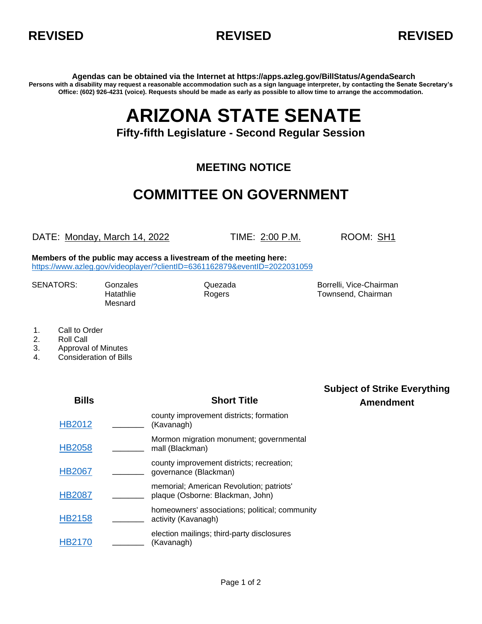



**Agendas can be obtained via the Internet at https://apps.azleg.gov/BillStatus/AgendaSearch Persons with a disability may request a reasonable accommodation such as a sign language interpreter, by contacting the Senate Secretary's Office: (602) 926-4231 (voice). Requests should be made as early as possible to allow time to arrange the accommodation.**

## **ARIZONA STATE SENATE**

## **Fifty-fifth Legislature - Second Regular Session**

## **MEETING NOTICE**

## **COMMITTEE ON GOVERNMENT**

DATE: Monday, March 14, 2022 TIME: 2:00 P.M. ROOM: SH1

**Members of the public may access a livestream of the meeting here:**  <https://www.azleg.gov/videoplayer/?clientID=6361162879&eventID=2022031059>

**Bills Short Title**

Mesnard

SENATORS: Gonzales Gonzales Quezada Borrelli, Vice-Chairman Hatathlie **Rogers** Rogers **Rogers** Rose Research Rownsend, Chairman

- 1. Call to Order
- 2. Roll Call
- 3. Approval of Minutes
- 4. Consideration of Bills

**Subject of Strike Everything Amendment**

| <b>HB2012</b> | county improvement districts; formation<br>(Kavanagh)                        |
|---------------|------------------------------------------------------------------------------|
| <b>HB2058</b> | Mormon migration monument; governmental<br>mall (Blackman)                   |
| <b>HB2067</b> | county improvement districts; recreation;<br>governance (Blackman)           |
| <b>HB2087</b> | memorial; American Revolution; patriots'<br>plaque (Osborne: Blackman, John) |
| HB2158        | homeowners' associations; political; community<br>activity (Kavanagh)        |
|               | election mailings; third-party disclosures<br>(Kavanagh)                     |